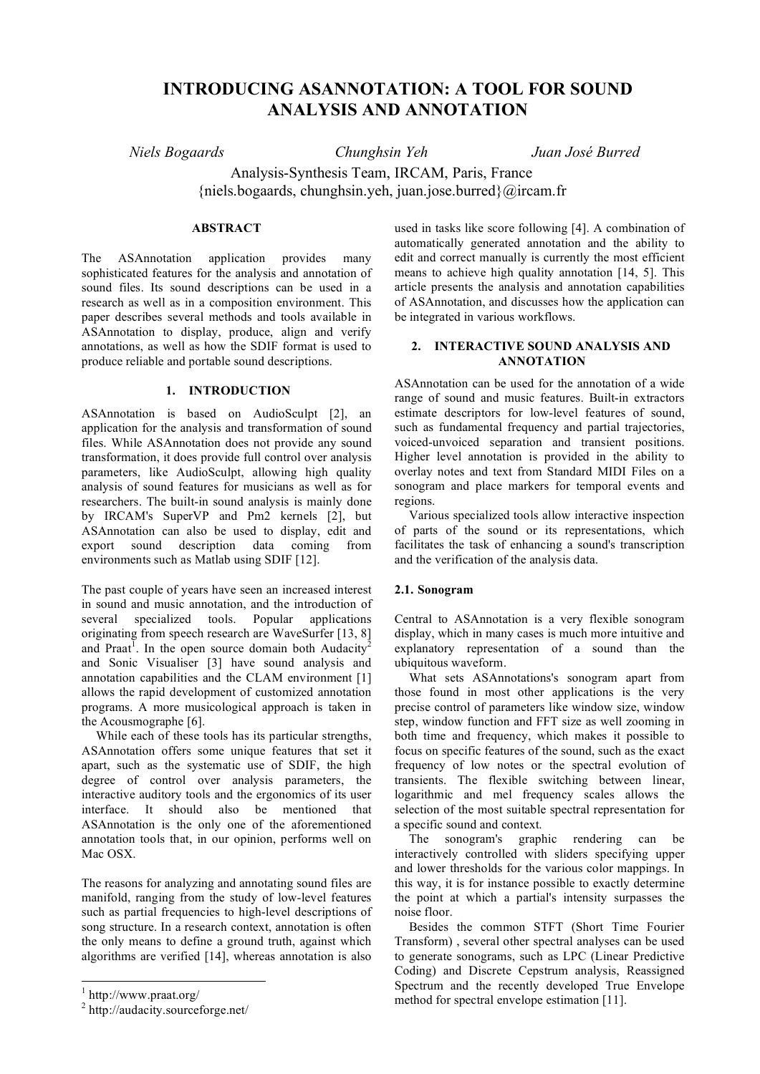# **INTRODUCING ASANNOTATION: A TOOL FOR SOUND ANALYSIS AND ANNOTATION**

*Niels Bogaards Chunghsin Yeh Juan José Burred*

Analysis-Synthesis Team, IRCAM, Paris, France {niels.bogaards, chunghsin.yeh, juan.jose.burred}@ircam.fr

#### **ABSTRACT**

The ASAnnotation application provides many sophisticated features for the analysis and annotation of sound files. Its sound descriptions can be used in a research as well as in a composition environment. This paper describes several methods and tools available in ASAnnotation to display, produce, align and verify annotations, as well as how the SDIF format is used to produce reliable and portable sound descriptions.

# **1. INTRODUCTION**

ASAnnotation is based on AudioSculpt [2], an application for the analysis and transformation of sound files. While ASAnnotation does not provide any sound transformation, it does provide full control over analysis parameters, like AudioSculpt, allowing high quality analysis of sound features for musicians as well as for researchers. The built-in sound analysis is mainly done by IRCAM's SuperVP and Pm2 kernels [2], but ASAnnotation can also be used to display, edit and export sound description data coming from environments such as Matlab using SDIF [12].

The past couple of years have seen an increased interest in sound and music annotation, and the introduction of several specialized tools. Popular applications originating from speech research are WaveSurfer [13, 8] and Praat<sup>1</sup>. In the open source domain both Audacity<sup>2</sup> and Sonic Visualiser [3] have sound analysis and annotation capabilities and the CLAM environment [1] allows the rapid development of customized annotation programs. A more musicological approach is taken in the Acousmographe [6].

While each of these tools has its particular strengths, ASAnnotation offers some unique features that set it apart, such as the systematic use of SDIF, the high degree of control over analysis parameters, the interactive auditory tools and the ergonomics of its user interface. It should also be mentioned that ASAnnotation is the only one of the aforementioned annotation tools that, in our opinion, performs well on Mac OSX.

The reasons for analyzing and annotating sound files are manifold, ranging from the study of low-level features such as partial frequencies to high-level descriptions of song structure. In a research context, annotation is often the only means to define a ground truth, against which algorithms are verified [14], whereas annotation is also

used in tasks like score following [4]. A combination of automatically generated annotation and the ability to edit and correct manually is currently the most efficient means to achieve high quality annotation [14, 5]. This article presents the analysis and annotation capabilities of ASAnnotation, and discusses how the application can be integrated in various workflows.

## **2. INTERACTIVE SOUND ANALYSIS AND ANNOTATION**

ASAnnotation can be used for the annotation of a wide range of sound and music features. Built-in extractors estimate descriptors for low-level features of sound, such as fundamental frequency and partial trajectories, voiced-unvoiced separation and transient positions. Higher level annotation is provided in the ability to overlay notes and text from Standard MIDI Files on a sonogram and place markers for temporal events and regions.

Various specialized tools allow interactive inspection of parts of the sound or its representations, which facilitates the task of enhancing a sound's transcription and the verification of the analysis data.

#### **2.1. Sonogram**

Central to ASAnnotation is a very flexible sonogram display, which in many cases is much more intuitive and explanatory representation of a sound than the ubiquitous waveform.

What sets ASAnnotations's sonogram apart from those found in most other applications is the very precise control of parameters like window size, window step, window function and FFT size as well zooming in both time and frequency, which makes it possible to focus on specific features of the sound, such as the exact frequency of low notes or the spectral evolution of transients. The flexible switching between linear, logarithmic and mel frequency scales allows the selection of the most suitable spectral representation for a specific sound and context.

The sonogram's graphic rendering can be interactively controlled with sliders specifying upper and lower thresholds for the various color mappings. In this way, it is for instance possible to exactly determine the point at which a partial's intensity surpasses the noise floor.

Besides the common STFT (Short Time Fourier Transform) , several other spectral analyses can be used to generate sonograms, such as LPC (Linear Predictive Coding) and Discrete Cepstrum analysis, Reassigned Spectrum and the recently developed True Envelope method for spectral envelope estimation [11].

 $1$  http://www.praat.org/

<sup>2</sup> http://audacity.sourceforge.net/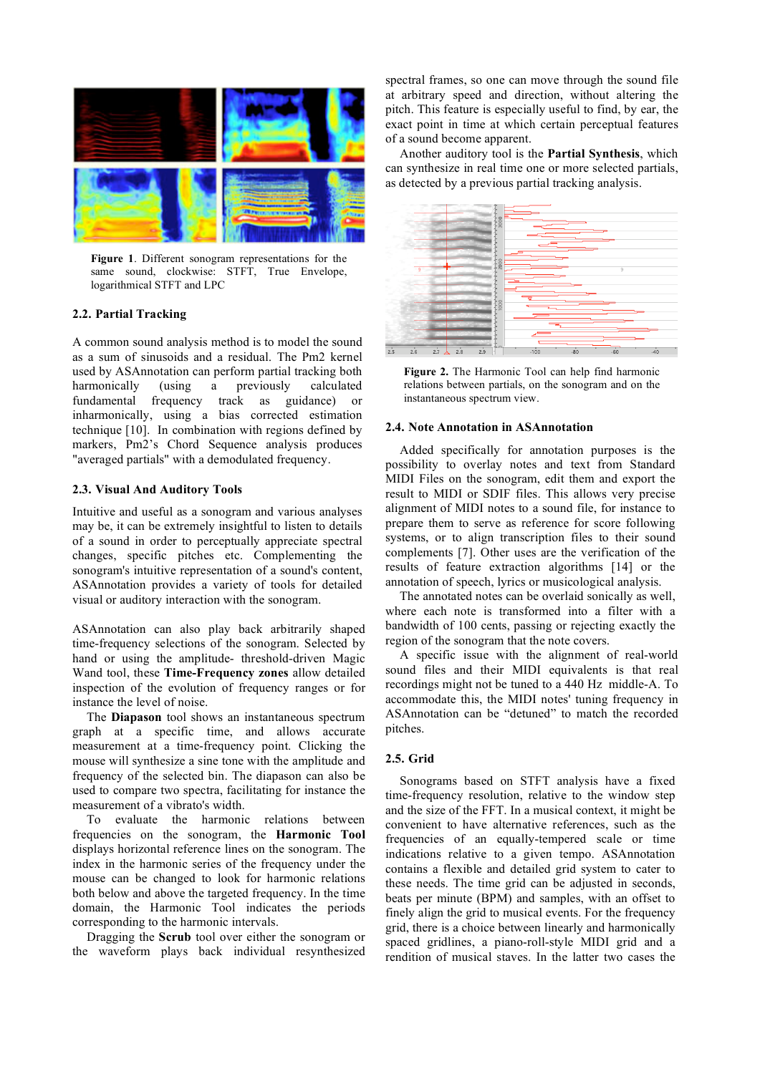

**Figure 1**. Different sonogram representations for the same sound, clockwise: STFT, True Envelope, logarithmical STFT and LPC

# **2.2. Partial Tracking**

A common sound analysis method is to model the sound as a sum of sinusoids and a residual. The Pm2 kernel used by ASAnnotation can perform partial tracking both harmonically (using a previously calculated fundamental frequency track as guidance) or inharmonically, using a bias corrected estimation technique [10]. In combination with regions defined by markers, Pm2's Chord Sequence analysis produces "averaged partials" with a demodulated frequency.

#### **2.3. Visual And Auditory Tools**

Intuitive and useful as a sonogram and various analyses may be, it can be extremely insightful to listen to details of a sound in order to perceptually appreciate spectral changes, specific pitches etc. Complementing the sonogram's intuitive representation of a sound's content, ASAnnotation provides a variety of tools for detailed visual or auditory interaction with the sonogram.

ASAnnotation can also play back arbitrarily shaped time-frequency selections of the sonogram. Selected by hand or using the amplitude- threshold-driven Magic Wand tool, these **Time-Frequency zones** allow detailed inspection of the evolution of frequency ranges or for instance the level of noise.

The **Diapason** tool shows an instantaneous spectrum graph at a specific time, and allows accurate measurement at a time-frequency point. Clicking the mouse will synthesize a sine tone with the amplitude and frequency of the selected bin. The diapason can also be used to compare two spectra, facilitating for instance the measurement of a vibrato's width.

To evaluate the harmonic relations between frequencies on the sonogram, the **Harmonic Tool** displays horizontal reference lines on the sonogram. The index in the harmonic series of the frequency under the mouse can be changed to look for harmonic relations both below and above the targeted frequency. In the time domain, the Harmonic Tool indicates the periods corresponding to the harmonic intervals.

Dragging the **Scrub** tool over either the sonogram or the waveform plays back individual resynthesized spectral frames, so one can move through the sound file at arbitrary speed and direction, without altering the pitch. This feature is especially useful to find, by ear, the exact point in time at which certain perceptual features of a sound become apparent.

Another auditory tool is the **Partial Synthesis**, which can synthesize in real time one or more selected partials, as detected by a previous partial tracking analysis.



**Figure 2.** The Harmonic Tool can help find harmonic relations between partials, on the sonogram and on the instantaneous spectrum view.

# **2.4. Note Annotation in ASAnnotation**

Added specifically for annotation purposes is the possibility to overlay notes and text from Standard MIDI Files on the sonogram, edit them and export the result to MIDI or SDIF files. This allows very precise alignment of MIDI notes to a sound file, for instance to prepare them to serve as reference for score following systems, or to align transcription files to their sound complements [7]. Other uses are the verification of the results of feature extraction algorithms [14] or the annotation of speech, lyrics or musicological analysis.

The annotated notes can be overlaid sonically as well, where each note is transformed into a filter with a bandwidth of 100 cents, passing or rejecting exactly the region of the sonogram that the note covers.

A specific issue with the alignment of real-world sound files and their MIDI equivalents is that real recordings might not be tuned to a 440 Hz middle-A. To accommodate this, the MIDI notes' tuning frequency in ASAnnotation can be "detuned" to match the recorded pitches.

## **2.5. Grid**

Sonograms based on STFT analysis have a fixed time-frequency resolution, relative to the window step and the size of the FFT. In a musical context, it might be convenient to have alternative references, such as the frequencies of an equally-tempered scale or time indications relative to a given tempo. ASAnnotation contains a flexible and detailed grid system to cater to these needs. The time grid can be adjusted in seconds, beats per minute (BPM) and samples, with an offset to finely align the grid to musical events. For the frequency grid, there is a choice between linearly and harmonically spaced gridlines, a piano-roll-style MIDI grid and a rendition of musical staves. In the latter two cases the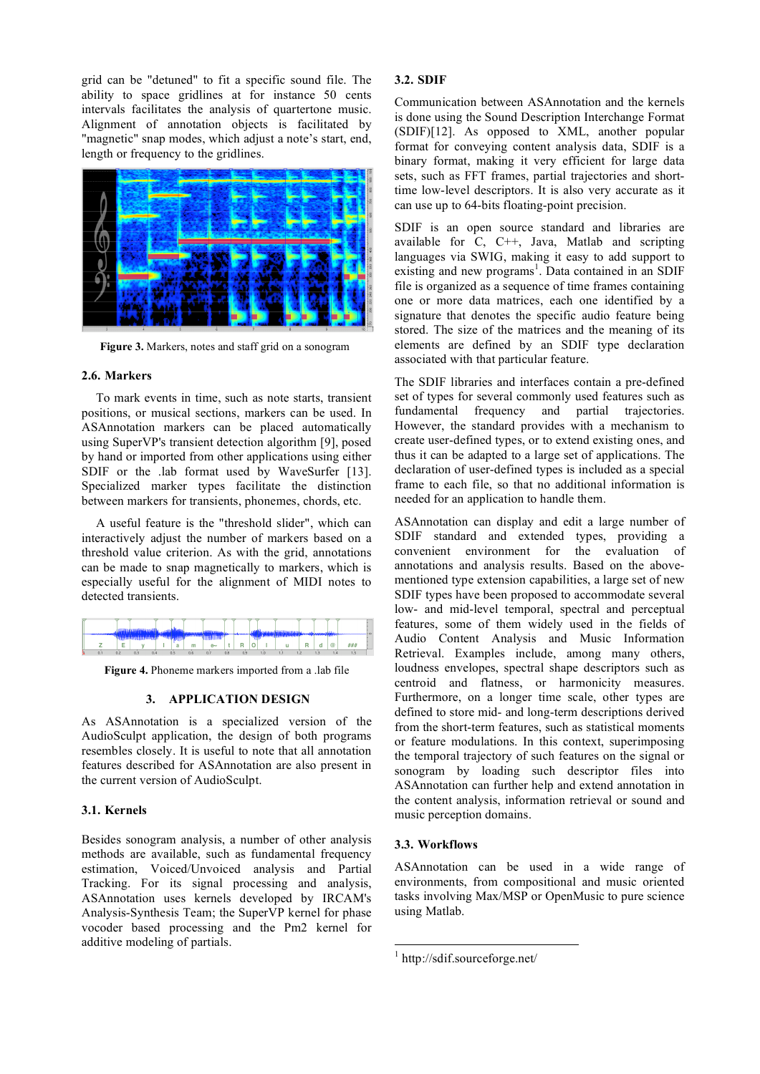grid can be "detuned" to fit a specific sound file. The ability to space gridlines at for instance 50 cents intervals facilitates the analysis of quartertone music. Alignment of annotation objects is facilitated by "magnetic" snap modes, which adjust a note's start, end, length or frequency to the gridlines.



**Figure 3.** Markers, notes and staff grid on a sonogram

# **2.6. Markers**

To mark events in time, such as note starts, transient positions, or musical sections, markers can be used. In ASAnnotation markers can be placed automatically using SuperVP's transient detection algorithm [9], posed by hand or imported from other applications using either SDIF or the .lab format used by WaveSurfer [13]. Specialized marker types facilitate the distinction between markers for transients, phonemes, chords, etc.

A useful feature is the "threshold slider", which can interactively adjust the number of markers based on a threshold value criterion. As with the grid, annotations can be made to snap magnetically to markers, which is especially useful for the alignment of MIDI notes to detected transients.



**Figure 4.** Phoneme markers imported from a .lab file

# **3. APPLICATION DESIGN**

As ASAnnotation is a specialized version of the AudioSculpt application, the design of both programs resembles closely. It is useful to note that all annotation features described for ASAnnotation are also present in the current version of AudioSculpt.

#### **3.1. Kernels**

Besides sonogram analysis, a number of other analysis methods are available, such as fundamental frequency estimation, Voiced/Unvoiced analysis and Partial Tracking. For its signal processing and analysis, ASAnnotation uses kernels developed by IRCAM's Analysis-Synthesis Team; the SuperVP kernel for phase vocoder based processing and the Pm2 kernel for additive modeling of partials.

#### **3.2. SDIF**

Communication between ASAnnotation and the kernels is done using the Sound Description Interchange Format (SDIF)[12]. As opposed to XML, another popular format for conveying content analysis data, SDIF is a binary format, making it very efficient for large data sets, such as FFT frames, partial trajectories and shorttime low-level descriptors. It is also very accurate as it can use up to 64-bits floating-point precision.

SDIF is an open source standard and libraries are available for C, C++, Java, Matlab and scripting languages via SWIG, making it easy to add support to existing and new programs<sup>1</sup>. Data contained in an SDIF file is organized as a sequence of time frames containing one or more data matrices, each one identified by a signature that denotes the specific audio feature being stored. The size of the matrices and the meaning of its elements are defined by an SDIF type declaration associated with that particular feature.

The SDIF libraries and interfaces contain a pre-defined set of types for several commonly used features such as fundamental frequency and partial trajectories. However, the standard provides with a mechanism to create user-defined types, or to extend existing ones, and thus it can be adapted to a large set of applications. The declaration of user-defined types is included as a special frame to each file, so that no additional information is needed for an application to handle them.

ASAnnotation can display and edit a large number of SDIF standard and extended types, providing a convenient environment for the evaluation of annotations and analysis results. Based on the abovementioned type extension capabilities, a large set of new SDIF types have been proposed to accommodate several low- and mid-level temporal, spectral and perceptual features, some of them widely used in the fields of Audio Content Analysis and Music Information Retrieval. Examples include, among many others, loudness envelopes, spectral shape descriptors such as centroid and flatness, or harmonicity measures. Furthermore, on a longer time scale, other types are defined to store mid- and long-term descriptions derived from the short-term features, such as statistical moments or feature modulations. In this context, superimposing the temporal trajectory of such features on the signal or sonogram by loading such descriptor files into ASAnnotation can further help and extend annotation in the content analysis, information retrieval or sound and music perception domains.

# **3.3. Workflows**

ASAnnotation can be used in a wide range of environments, from compositional and music oriented tasks involving Max/MSP or OpenMusic to pure science using Matlab.

 $1$  http://sdif.sourceforge.net/